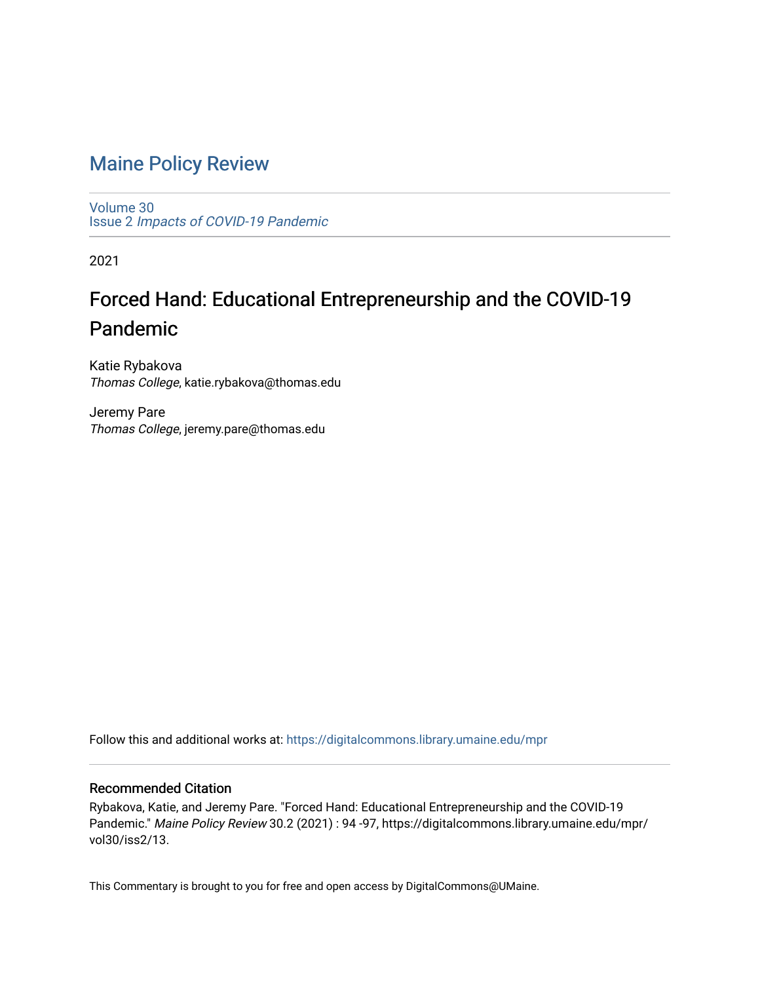# [Maine Policy Review](https://digitalcommons.library.umaine.edu/mpr)

[Volume 30](https://digitalcommons.library.umaine.edu/mpr/vol30) Issue 2 [Impacts of COVID-19 Pandemic](https://digitalcommons.library.umaine.edu/mpr/vol30/iss2)

2021

# Forced Hand: Educational Entrepreneurship and the COVID-19 Pandemic

Katie Rybakova Thomas College, katie.rybakova@thomas.edu

Jeremy Pare Thomas College, jeremy.pare@thomas.edu

Follow this and additional works at: [https://digitalcommons.library.umaine.edu/mpr](https://digitalcommons.library.umaine.edu/mpr?utm_source=digitalcommons.library.umaine.edu%2Fmpr%2Fvol30%2Fiss2%2F13&utm_medium=PDF&utm_campaign=PDFCoverPages)

## Recommended Citation

Rybakova, Katie, and Jeremy Pare. "Forced Hand: Educational Entrepreneurship and the COVID-19 Pandemic." Maine Policy Review 30.2 (2021) : 94 -97, https://digitalcommons.library.umaine.edu/mpr/ vol30/iss2/13.

This Commentary is brought to you for free and open access by DigitalCommons@UMaine.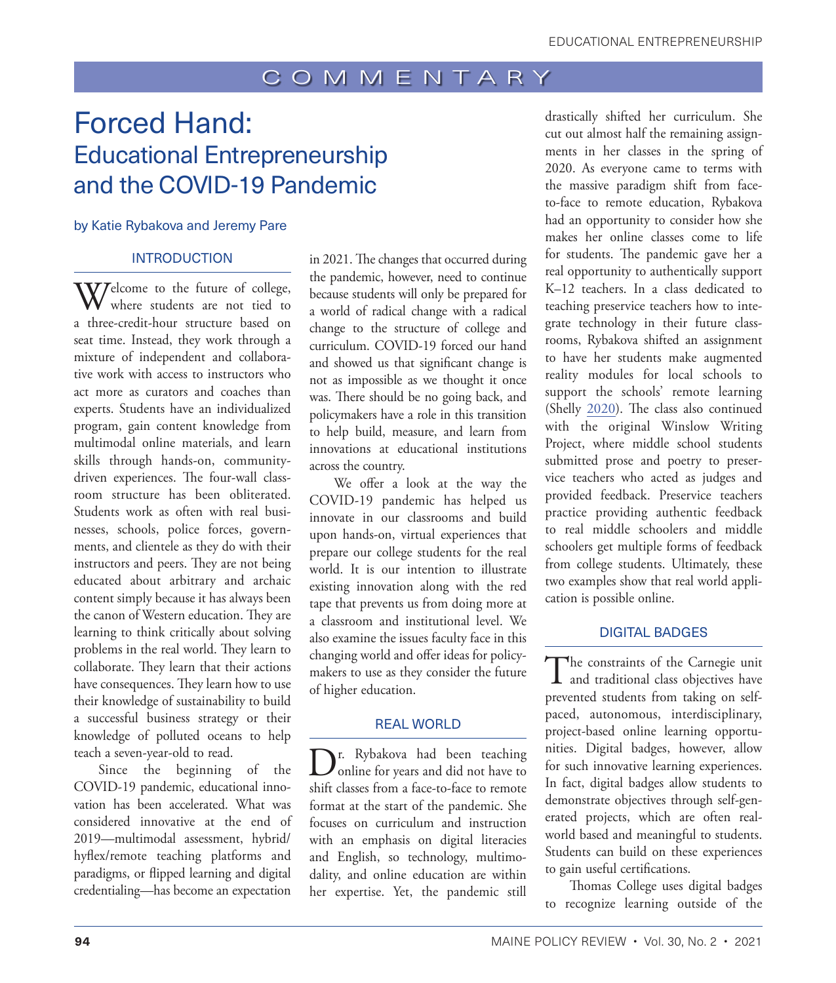# Forced Hand: Educational Entrepreneurship and the COVID-19 Pandemic

#### by Katie Rybakova and Jeremy Pare

#### **INTRODUCTION**

Welcome to the future of college,<br>where students are not tied to a three-credit-hour structure based on seat time. Instead, they work through a mixture of independent and collaborative work with access to instructors who act more as curators and coaches than experts. Students have an individualized program, gain content knowledge from multimodal online materials, and learn skills through hands-on, communitydriven experiences. The four-wall classroom structure has been obliterated. Students work as often with real businesses, schools, police forces, governments, and clientele as they do with their instructors and peers. They are not being educated about arbitrary and archaic content simply because it has always been the canon of Western education. They are learning to think critically about solving problems in the real world. They learn to collaborate. They learn that their actions have consequences. They learn how to use their knowledge of sustainability to build a successful business strategy or their knowledge of polluted oceans to help teach a seven-year-old to read.

Since the beginning of the COVID-19 pandemic, educational innovation has been accelerated. What was considered innovative at the end of 2019—multimodal assessment, hybrid/ hyflex/remote teaching platforms and paradigms, or flipped learning and digital credentialing—has become an expectation

in 2021. The changes that occurred during the pandemic, however, need to continue because students will only be prepared for a world of radical change with a radical change to the structure of college and curriculum. COVID-19 forced our hand and showed us that significant change is not as impossible as we thought it once was. There should be no going back, and policymakers have a role in this transition to help build, measure, and learn from innovations at educational institutions across the country.

We offer a look at the way the COVID-19 pandemic has helped us innovate in our classrooms and build upon hands-on, virtual experiences that prepare our college students for the real world. It is our intention to illustrate existing innovation along with the red tape that prevents us from doing more at a classroom and institutional level. We also examine the issues faculty face in this changing world and offer ideas for policymakers to use as they consider the future of higher education.

### REAL WORLD

D<sub>r.</sub> Rybakova had been teaching<br>online for years and did not have to shift classes from a face-to-face to remote format at the start of the pandemic. She focuses on curriculum and instruction with an emphasis on digital literacies and English, so technology, multimodality, and online education are within her expertise. Yet, the pandemic still

drastically shifted her curriculum. She cut out almost half the remaining assignments in her classes in the spring of 2020. As everyone came to terms with the massive paradigm shift from faceto-face to remote education, Rybakova had an opportunity to consider how she makes her online classes come to life for students. The pandemic gave her a real opportunity to authentically support K–12 teachers. In a class dedicated to teaching preservice teachers how to integrate technology in their future classrooms, Rybakova shifted an assignment to have her students make augmented reality modules for local schools to support the schools' remote learning (Shelly [2020\)](#page-4-0). The class also continued with the original Winslow Writing Project, where middle school students submitted prose and poetry to preservice teachers who acted as judges and provided feedback. Preservice teachers practice providing authentic feedback to real middle schoolers and middle schoolers get multiple forms of feedback from college students. Ultimately, these two examples show that real world application is possible online.

### DIGITAL BADGES

The constraints of the Carnegie unit<br>and traditional class objectives have prevented students from taking on selfpaced, autonomous, interdisciplinary, project-based online learning opportunities. Digital badges, however, allow for such innovative learning experiences. In fact, digital badges allow students to demonstrate objectives through self-generated projects, which are often realworld based and meaningful to students. Students can build on these experiences to gain useful certifications.

Thomas College uses digital badges to recognize learning outside of the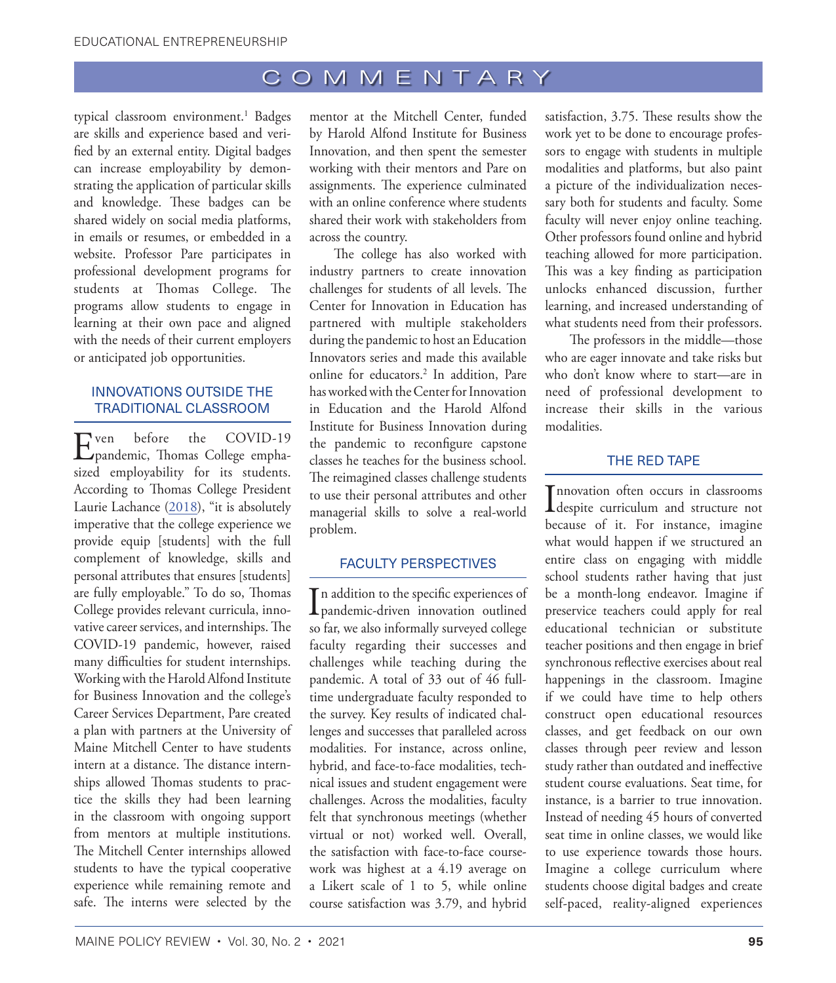<span id="page-2-0"></span>typical classroom environment.<sup>[1](#page-4-1)</sup> Badges are skills and experience based and verified by an external entity. Digital badges can increase employability by demonstrating the application of particular skills and knowledge. These badges can be shared widely on social media platforms, in emails or resumes, or embedded in a website. Professor Pare participates in professional development programs for students at Thomas College. The programs allow students to engage in learning at their own pace and aligned with the needs of their current employers or anticipated job opportunities.

## INNOVATIONS OUTSIDE THE TRADITIONAL CLASSROOM

Even before the COVID-19 pandemic, Thomas College emphasized employability for its students. According to Thomas College President Laurie Lachance [\(2018](#page-4-2)), "it is absolutely imperative that the college experience we provide equip [students] with the full complement of knowledge, skills and personal attributes that ensures [students] are fully employable." To do so, Thomas College provides relevant curricula, innovative career services, and internships. The COVID-19 pandemic, however, raised many difficulties for student internships. Working with the Harold Alfond Institute for Business Innovation and the college's Career Services Department, Pare created a plan with partners at the University of Maine Mitchell Center to have students intern at a distance. The distance internships allowed Thomas students to practice the skills they had been learning in the classroom with ongoing support from mentors at multiple institutions. The Mitchell Center internships allowed students to have the typical cooperative experience while remaining remote and safe. The interns were selected by the

mentor at the Mitchell Center, funded by Harold Alfond Institute for Business Innovation, and then spent the semester working with their mentors and Pare on assignments. The experience culminated with an online conference where students shared their work with stakeholders from across the country.

The college has also worked with industry partners to create innovation challenges for students of all levels. The Center for Innovation in Education has partnered with multiple stakeholders during the pandemic to host an Education Innovators series and made this available online for educators.[2](#page-4-1) In addition, Pare has worked with the Center for Innovation in Education and the Harold Alfond Institute for Business Innovation during the pandemic to reconfigure capstone classes he teaches for the business school. The reimagined classes challenge students to use their personal attributes and other managerial skills to solve a real-world problem.

#### FACULTY PERSPECTIVES

In addition to the specific experiences of<br>pandemic-driven innovation outlined Tn addition to the specific experiences of so far, we also informally surveyed college faculty regarding their successes and challenges while teaching during the pandemic. A total of 33 out of 46 fulltime undergraduate faculty responded to the survey. Key results of indicated challenges and successes that paralleled across modalities. For instance, across online, hybrid, and face-to-face modalities, technical issues and student engagement were challenges. Across the modalities, faculty felt that synchronous meetings (whether virtual or not) worked well. Overall, the satisfaction with face-to-face coursework was highest at a 4.19 average on a Likert scale of 1 to 5, while online course satisfaction was 3.79, and hybrid

satisfaction, 3.75. These results show the work yet to be done to encourage professors to engage with students in multiple modalities and platforms, but also paint a picture of the individualization necessary both for students and faculty. Some faculty will never enjoy online teaching. Other professors found online and hybrid teaching allowed for more participation. This was a key finding as participation unlocks enhanced discussion, further learning, and increased understanding of what students need from their professors.

The professors in the middle—those who are eager innovate and take risks but who don't know where to start—are in need of professional development to increase their skills in the various modalities.

### THE RED TAPE

Innovation often occurs in classrooms<br>despite curriculum and structure not Innovation often occurs in classrooms because of it. For instance, imagine what would happen if we structured an entire class on engaging with middle school students rather having that just be a month-long endeavor. Imagine if preservice teachers could apply for real educational technician or substitute teacher positions and then engage in brief synchronous reflective exercises about real happenings in the classroom. Imagine if we could have time to help others construct open educational resources classes, and get feedback on our own classes through peer review and lesson study rather than outdated and ineffective student course evaluations. Seat time, for instance, is a barrier to true innovation. Instead of needing 45 hours of converted seat time in online classes, we would like to use experience towards those hours. Imagine a college curriculum where students choose digital badges and create self-paced, reality-aligned experiences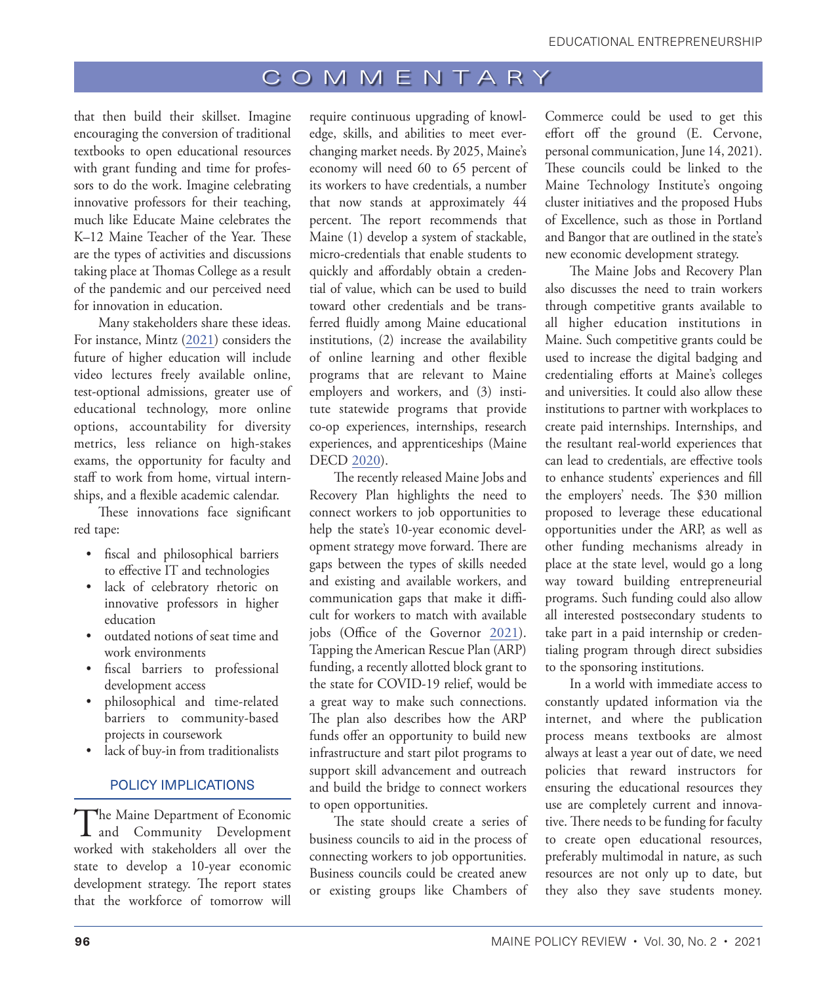that then build their skillset. Imagine encouraging the conversion of traditional textbooks to open educational resources with grant funding and time for professors to do the work. Imagine celebrating innovative professors for their teaching, much like Educate Maine celebrates the K–12 Maine Teacher of the Year. These are the types of activities and discussions taking place at Thomas College as a result of the pandemic and our perceived need for innovation in education.

Many stakeholders share these ideas. For instance, Mintz ([2021\)](#page-4-3) considers the future of higher education will include video lectures freely available online, test-optional admissions, greater use of educational technology, more online options, accountability for diversity metrics, less reliance on high-stakes exams, the opportunity for faculty and staff to work from home, virtual internships, and a flexible academic calendar.

These innovations face significant red tape:

- fiscal and philosophical barriers to effective IT and technologies
- lack of celebratory rhetoric on innovative professors in higher education
- outdated notions of seat time and work environments
- fiscal barriers to professional development access
- philosophical and time-related barriers to community-based projects in coursework
- lack of buy-in from traditionalists

#### POLICY IMPLICATIONS

The Maine Department of Economic<br>and Community Development worked with stakeholders all over the state to develop a 10-year economic development strategy. The report states that the workforce of tomorrow will

require continuous upgrading of knowledge, skills, and abilities to meet everchanging market needs. By 2025, Maine's economy will need 60 to 65 percent of its workers to have credentials, a number that now stands at approximately 44 percent. The report recommends that Maine (1) develop a system of stackable, micro-credentials that enable students to quickly and affordably obtain a credential of value, which can be used to build toward other credentials and be transferred fluidly among Maine educational institutions, (2) increase the availability of online learning and other flexible programs that are relevant to Maine employers and workers, and (3) institute statewide programs that provide co-op experiences, internships, research experiences, and apprenticeships (Maine DECD [2020\)](#page-4-3).

The recently released Maine Jobs and Recovery Plan highlights the need to connect workers to job opportunities to help the state's 10-year economic development strategy move forward. There are gaps between the types of skills needed and existing and available workers, and communication gaps that make it difficult for workers to match with available jobs (Office of the Governor [2021\)](#page-4-4). Tapping the American Rescue Plan (ARP) funding, a recently allotted block grant to the state for COVID-19 relief, would be a great way to make such connections. The plan also describes how the ARP funds offer an opportunity to build new infrastructure and start pilot programs to support skill advancement and outreach and build the bridge to connect workers to open opportunities.

The state should create a series of business councils to aid in the process of connecting workers to job opportunities. Business councils could be created anew or existing groups like Chambers of Commerce could be used to get this effort off the ground (E. Cervone, personal communication, June 14, 2021). These councils could be linked to the Maine Technology Institute's ongoing cluster initiatives and the proposed Hubs of Excellence, such as those in Portland and Bangor that are outlined in the state's new economic development strategy.

The Maine Jobs and Recovery Plan also discusses the need to train workers through competitive grants available to all higher education institutions in Maine. Such competitive grants could be used to increase the digital badging and credentialing efforts at Maine's colleges and universities. It could also allow these institutions to partner with workplaces to create paid internships. Internships, and the resultant real-world experiences that can lead to credentials, are effective tools to enhance students' experiences and fill the employers' needs. The \$30 million proposed to leverage these educational opportunities under the ARP, as well as other funding mechanisms already in place at the state level, would go a long way toward building entrepreneurial programs. Such funding could also allow all interested postsecondary students to take part in a paid internship or credentialing program through direct subsidies to the sponsoring institutions.

In a world with immediate access to constantly updated information via the internet, and where the publication process means textbooks are almost always at least a year out of date, we need policies that reward instructors for ensuring the educational resources they use are completely current and innovative. There needs to be funding for faculty to create open educational resources, preferably multimodal in nature, as such resources are not only up to date, but they also they save students money.